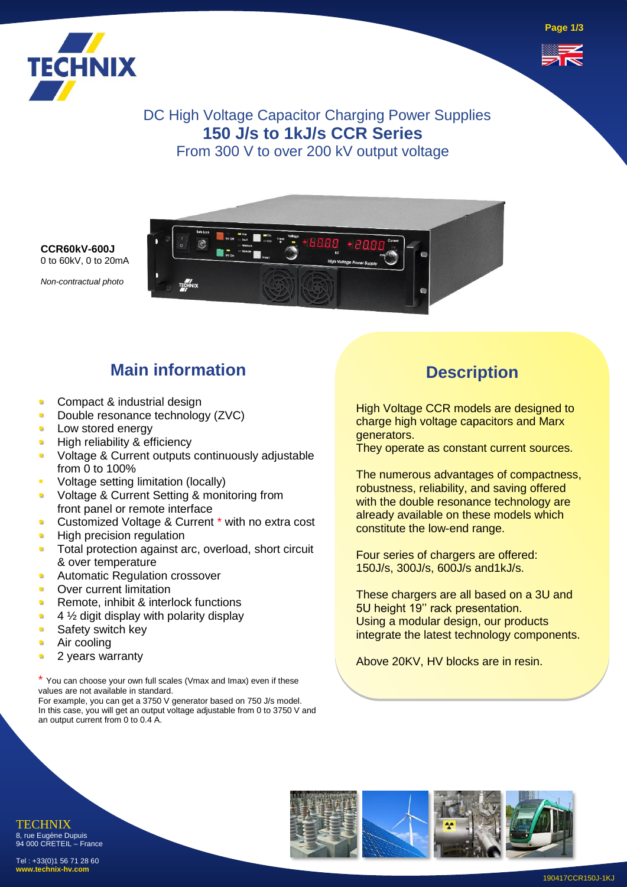



DC High Voltage Capacitor Charging Power Supplies **150 J/s to 1kJ/s CCR Series** From 300 V to over 200 kV output voltage



0 to 60kV, 0 to 20mA *Non-contractual photo*

**CCR60kV-600J**

# **Main information**

- Compact & industrial design
- Double resonance technology (ZVC)
- Low stored energy
- High reliability & efficiency
- Voltage & Current outputs continuously adjustable from 0 to 100%
- Voltage setting limitation (locally)
- Voltage & Current Setting & monitoring from front panel or remote interface
- Customized Voltage & Current \* with no extra cost
- **High precision regulation**
- Total protection against arc, overload, short circuit & over temperature
- **Automatic Regulation crossover**
- Over current limitation
- Remote, inhibit & interlock functions
- $4\frac{1}{2}$  digit display with polarity display
- Safety switch key
- Air cooling
- 2 years warranty

\* You can choose your own full scales (Vmax and Imax) even if these values are not available in standard.

For example, you can get a 3750 V generator based on 750 J/s model. In this case, you will get an output voltage adjustable from 0 to 3750 V and an output current from 0 to 0.4 A.

#### **Description**

High Voltage CCR models are designed to charge high voltage capacitors and Marx generators.

They operate as constant current sources.

The numerous advantages of compactness, robustness, reliability, and saving offered with the double resonance technology are already available on these models which constitute the low-end range.

Four series of chargers are offered: 150J/s, 300J/s, 600J/s and1kJ/s.

These chargers are all based on a 3U and 5U height 19'' rack presentation. Using a modular design, our products integrate the latest technology components.

Above 20KV, HV blocks are in resin.

TECHNIX 8, rue Eugène Dupuis 94 000 CRETEIL – France

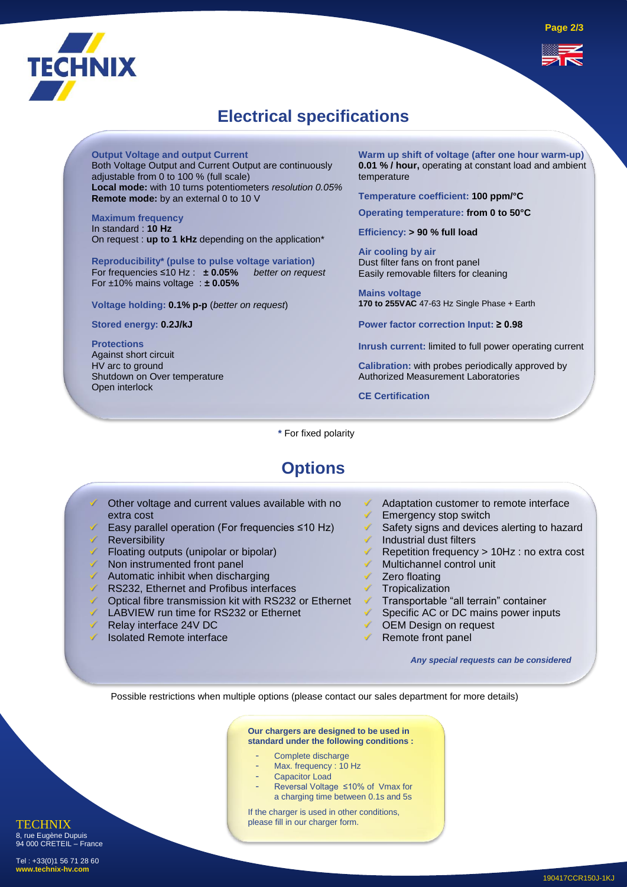

## **Electrical specifications**

**Output Voltage and output Current**

Both Voltage Output and Current Output are continuously adjustable from 0 to 100 % (full scale) **Local mode:** with 10 turns potentiometers *resolution 0.05%* **Remote mode:** by an external 0 to 10 V

**Maximum frequency**  In standard : **10 Hz** On request : **up to 1 kHz** depending on the application\*

**Reproducibility\* (pulse to pulse voltage variation)** For frequencies ≤10 Hz : **± 0.05%** *better on request* For ±10% mains voltage : **± 0.05%**

**Voltage holding: 0.1% p-p** (*better on request*)

**Stored energy: 0.2J/kJ**

**Protections** Against short circuit HV arc to ground Shutdown on Over temperature Open interlock

**Warm up shift of voltage (after one hour warm-up) 0.01 % / hour,** operating at constant load and ambient temperature

**Temperature coefficient: 100 ppm/°C**

**Operating temperature: from 0 to 50°C**

**Efficiency: > 90 % full load** 

**Air cooling by air**  Dust filter fans on front panel Easily removable filters for cleaning

**Mains voltage 170 to 255VAC** 47-63 Hz Single Phase + Earth

**Power factor correction Input: ≥ 0.98**

**Inrush current:** limited to full power operating current

**Calibration:** with probes periodically approved by Authorized Measurement Laboratories

**CE Certification**

**\*** For fixed polarity

## **Options**

- Other voltage and current values available with no extra cost Easy parallel operation (For frequencies ≤10 Hz) **Reversibility** ✓ Floating outputs (unipolar or bipolar) ✓ Non instrumented front panel Automatic inhibit when discharging ✓ RS232, Ethernet and Profibus interfaces ✓ Optical fibre transmission kit with RS232 or Ethernet ✓ LABVIEW run time for RS232 or Ethernet Adaptation customer to remote interface Emergency stop switch Safety signs and devices alerting to hazard Industrial dust filters ✓ Repetition frequency > 10Hz : no extra cost Multichannel control unit Zero floating **Tropicalization** ✓ Transportable "all terrain" container ✓ Specific AC or DC mains power inputs ✓ OEM Design on request
- ✓ Relay interface 24V DC
- Isolated Remote interface

✓ Remote front panel

*Any special requests can be considered*

Possible restrictions when multiple options (please contact our sales department for more details)

#### **Our chargers are designed to be used in standard under the following conditions :**

- Complete discharge
- Max. frequency : 10 Hz
- Capacitor Load
- Reversal Voltage ≤10% of Vmax for a charging time between 0.1s and 5s

If the charger is used in other conditions, please fill in our charger form.

**TECHNIX** 8, rue Eugène Dupuis 94 000 CRETEIL – France Tel : +33(0)1 56 71 28 60

**www.technix-hv.com**